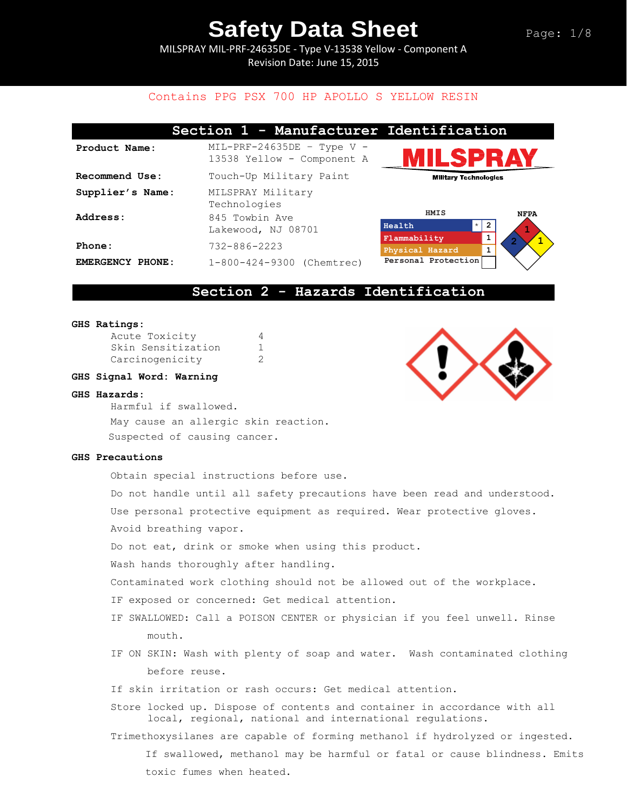MILSPRAY MIL-PRF-24635DE - Type V-13538 Yellow - Component A Revision Date: June 15, 2015

## Contains PPG PSX 700 HP APOLLO S YELLOW RESIN

|                  | Section 1 - Manufacturer Identification                    |                                             |             |
|------------------|------------------------------------------------------------|---------------------------------------------|-------------|
| Product Name:    | $MIL-PRF-24635DE$ - Type V -<br>13538 Yellow - Component A | <b>IILSPRAY</b>                             |             |
| Recommend Use:   | Touch-Up Military Paint                                    | <b>Military Technologies</b>                |             |
| Supplier's Name: | MILSPRAY Military<br>Technologies                          |                                             |             |
| Address:         | 845 Towbin Ave<br>Lakewood, NJ 08701                       | HMIS<br>$\star$<br>$\overline{2}$<br>Health | <b>NFPA</b> |
| Phone:           | $732 - 886 - 2223$                                         | Flammability<br>1<br>Physical Hazard        |             |
| EMERGENCY PHONE: | $1-800-424-9300$ (Chemtrec)                                | Personal Protection                         |             |

## **Section 2 - Hazards Identification**

#### **GHS Ratings:**

| Acute Toxicity     |   |
|--------------------|---|
| Skin Sensitization | 1 |
| Carcinogenicity    | 2 |

### **GHS Signal Word: Warning**

#### **GHS Hazards:**

Harmful if swallowed. May cause an allergic skin reaction. Suspected of causing cancer.

#### **GHS Precautions**

Obtain special instructions before use.

Do not handle until all safety precautions have been read and understood. Use personal protective equipment as required. Wear protective gloves. Avoid breathing vapor.

Do not eat, drink or smoke when using this product.

Wash hands thoroughly after handling.

Contaminated work clothing should not be allowed out of the workplace.

- IF exposed or concerned: Get medical attention.
- IF SWALLOWED: Call a POISON CENTER or physician if you feel unwell. Rinse mouth.
- IF ON SKIN: Wash with plenty of soap and water. Wash contaminated clothing before reuse.
- If skin irritation or rash occurs: Get medical attention.
- Store locked up. Dispose of contents and container in accordance with all local, regional, national and international regulations.

Trimethoxysilanes are capable of forming methanol if hydrolyzed or ingested.

If swallowed, methanol may be harmful or fatal or cause blindness. Emits toxic fumes when heated.

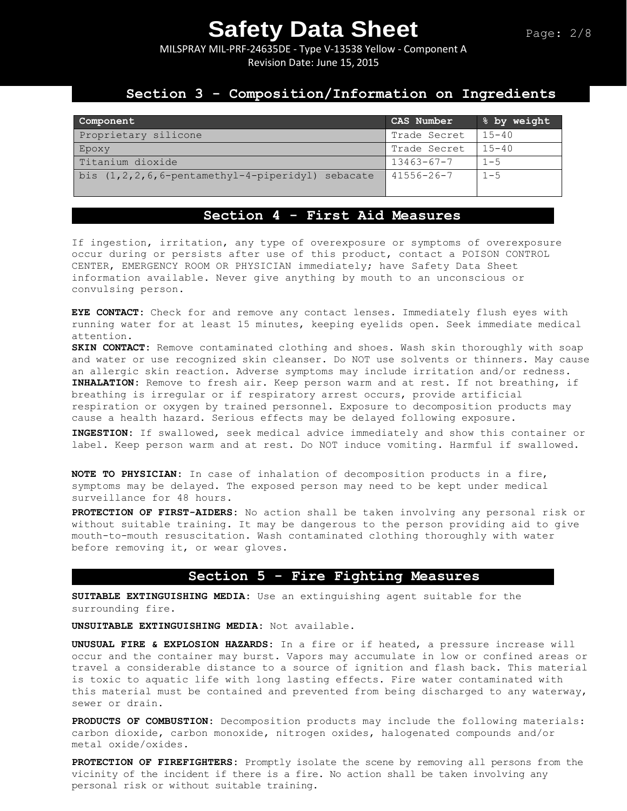MILSPRAY MIL-PRF-24635DE - Type V-13538 Yellow - Component A Revision Date: June 15, 2015

## **Section 3 - Composition/Information on Ingredients**

| Component                                                  | CAS Number       | % by weight |
|------------------------------------------------------------|------------------|-------------|
| Proprietary silicone                                       | Trade Secret     | $15 - 40$   |
| Epoxy                                                      | Trade Secret     | $15 - 40$   |
| Titanium dioxide                                           | $13463 - 67 - 7$ | $1 - 5$     |
| bis $(1, 2, 2, 6, 6$ -pentamethyl-4-piperidyl)<br>sebacate | $41556 - 26 - 7$ | $1 - 5$     |

## **Section 4 - First Aid Measures**

If ingestion, irritation, any type of overexposure or symptoms of overexposure occur during or persists after use of this product, contact a POISON CONTROL CENTER, EMERGENCY ROOM OR PHYSICIAN immediately; have Safety Data Sheet information available. Never give anything by mouth to an unconscious or convulsing person.

**EYE CONTACT:** Check for and remove any contact lenses. Immediately flush eyes with running water for at least 15 minutes, keeping eyelids open. Seek immediate medical attention.

**SKIN CONTACT:** Remove contaminated clothing and shoes. Wash skin thoroughly with soap and water or use recognized skin cleanser. Do NOT use solvents or thinners. May cause an allergic skin reaction. Adverse symptoms may include irritation and/or redness. **INHALATION:** Remove to fresh air. Keep person warm and at rest. If not breathing, if breathing is irregular or if respiratory arrest occurs, provide artificial respiration or oxygen by trained personnel. Exposure to decomposition products may cause a health hazard. Serious effects may be delayed following exposure.

**INGESTION:** If swallowed, seek medical advice immediately and show this container or label. Keep person warm and at rest. Do NOT induce vomiting. Harmful if swallowed.

**NOTE TO PHYSICIAN:** In case of inhalation of decomposition products in a fire, symptoms may be delayed. The exposed person may need to be kept under medical surveillance for 48 hours.

**PROTECTION OF FIRST-AIDERS:** No action shall be taken involving any personal risk or without suitable training. It may be dangerous to the person providing aid to give mouth-to-mouth resuscitation. Wash contaminated clothing thoroughly with water before removing it, or wear gloves.

### **Section 5 - Fire Fighting Measures**

**SUITABLE EXTINGUISHING MEDIA:** Use an extinguishing agent suitable for the surrounding fire.

**UNSUITABLE EXTINGUISHING MEDIA:** Not available.

**UNUSUAL FIRE & EXPLOSION HAZARDS:** In a fire or if heated, a pressure increase will occur and the container may burst. Vapors may accumulate in low or confined areas or travel a considerable distance to a source of ignition and flash back. This material is toxic to aquatic life with long lasting effects. Fire water contaminated with this material must be contained and prevented from being discharged to any waterway, sewer or drain.

**PRODUCTS OF COMBUSTION:** Decomposition products may include the following materials: carbon dioxide, carbon monoxide, nitrogen oxides, halogenated compounds and/or metal oxide/oxides.

**PROTECTION OF FIREFIGHTERS:** Promptly isolate the scene by removing all persons from the vicinity of the incident if there is a fire. No action shall be taken involving any personal risk or without suitable training.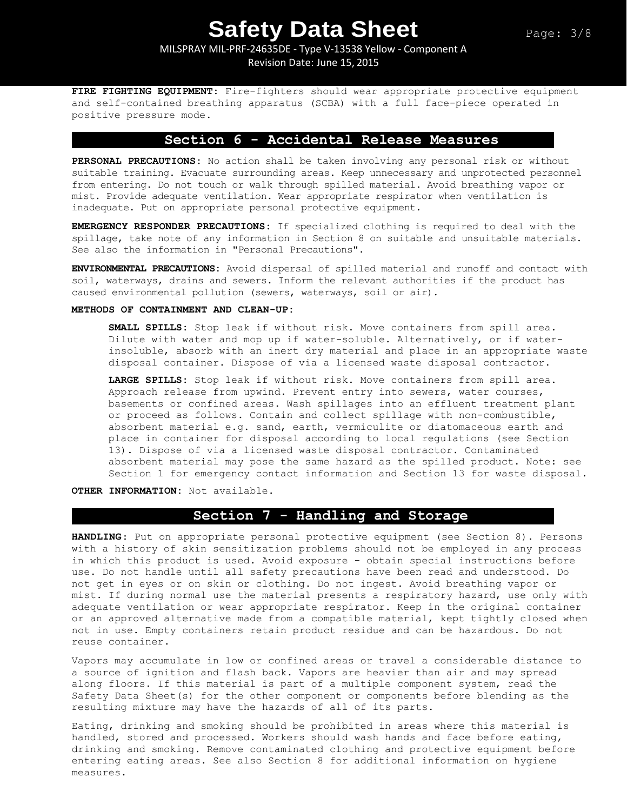## MILSPRAY MIL-PRF-24635DE - Type V-13538 Yellow - Component A Revision Date: June 15, 2015

**FIRE FIGHTING EQUIPMENT:** Fire-fighters should wear appropriate protective equipment and self-contained breathing apparatus (SCBA) with a full face-piece operated in positive pressure mode.

## **Section 6 - Accidental Release Measures**

**PERSONAL PRECAUTIONS:** No action shall be taken involving any personal risk or without suitable training. Evacuate surrounding areas. Keep unnecessary and unprotected personnel from entering. Do not touch or walk through spilled material. Avoid breathing vapor or mist. Provide adequate ventilation. Wear appropriate respirator when ventilation is inadequate. Put on appropriate personal protective equipment.

**EMERGENCY RESPONDER PRECAUTIONS:** If specialized clothing is required to deal with the spillage, take note of any information in Section 8 on suitable and unsuitable materials. See also the information in "Personal Precautions".

**ENVIRONMENTAL PRECAUTIONS:** Avoid dispersal of spilled material and runoff and contact with soil, waterways, drains and sewers. Inform the relevant authorities if the product has caused environmental pollution (sewers, waterways, soil or air).

### **METHODS OF CONTAINMENT AND CLEAN-UP:**

**SMALL SPILLS:** Stop leak if without risk. Move containers from spill area. Dilute with water and mop up if water-soluble. Alternatively, or if waterinsoluble, absorb with an inert dry material and place in an appropriate waste disposal container. Dispose of via a licensed waste disposal contractor.

**LARGE SPILLS:** Stop leak if without risk. Move containers from spill area. Approach release from upwind. Prevent entry into sewers, water courses, basements or confined areas. Wash spillages into an effluent treatment plant or proceed as follows. Contain and collect spillage with non-combustible, absorbent material e.g. sand, earth, vermiculite or diatomaceous earth and place in container for disposal according to local regulations (see Section 13). Dispose of via a licensed waste disposal contractor. Contaminated absorbent material may pose the same hazard as the spilled product. Note: see Section 1 for emergency contact information and Section 13 for waste disposal.

**OTHER INFORMATION:** Not available.

## **Section 7 - Handling and Storage**

**HANDLING**: Put on appropriate personal protective equipment (see Section 8). Persons with a history of skin sensitization problems should not be employed in any process in which this product is used. Avoid exposure - obtain special instructions before use. Do not handle until all safety precautions have been read and understood. Do not get in eyes or on skin or clothing. Do not ingest. Avoid breathing vapor or mist. If during normal use the material presents a respiratory hazard, use only with adequate ventilation or wear appropriate respirator. Keep in the original container or an approved alternative made from a compatible material, kept tightly closed when not in use. Empty containers retain product residue and can be hazardous. Do not reuse container.

Vapors may accumulate in low or confined areas or travel a considerable distance to a source of ignition and flash back. Vapors are heavier than air and may spread along floors. If this material is part of a multiple component system, read the Safety Data Sheet(s) for the other component or components before blending as the resulting mixture may have the hazards of all of its parts.

Eating, drinking and smoking should be prohibited in areas where this material is handled, stored and processed. Workers should wash hands and face before eating, drinking and smoking. Remove contaminated clothing and protective equipment before entering eating areas. See also Section 8 for additional information on hygiene measures.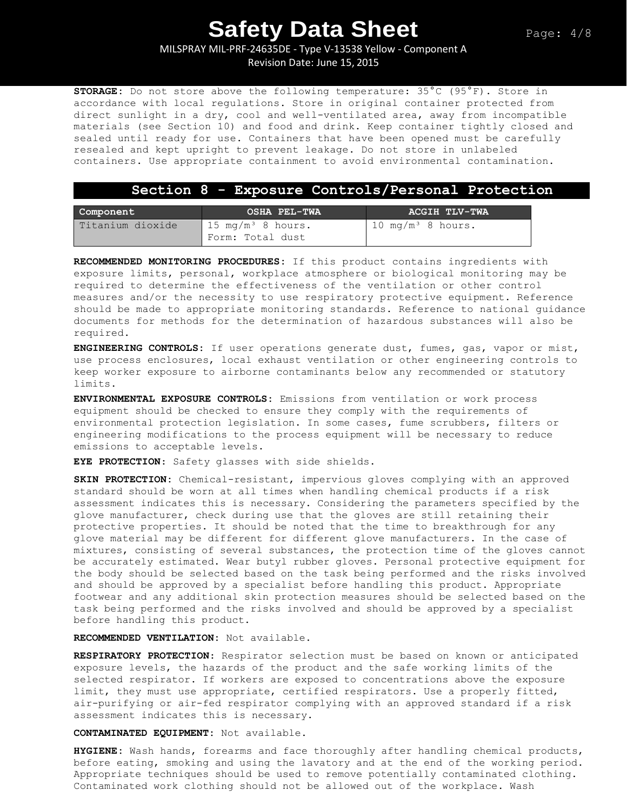MILSPRAY MIL-PRF-24635DE - Type V-13538 Yellow - Component A

Revision Date: June 15, 2015

**STORAGE:** Do not store above the following temperature: 35°C (95°F). Store in accordance with local regulations. Store in original container protected from direct sunlight in a dry, cool and well-ventilated area, away from incompatible materials (see Section 10) and food and drink. Keep container tightly closed and sealed until ready for use. Containers that have been opened must be carefully resealed and kept upright to prevent leakage. Do not store in unlabeled containers. Use appropriate containment to avoid environmental contamination.

### **Section 8 - Exposure Controls/Personal Protection**

| Component        | OSHA PEL-TWA                                     | ACGIH TLV-TWA                 |
|------------------|--------------------------------------------------|-------------------------------|
| Titanium dioxide | $15 \text{ mg/m}^3$ 8 hours.<br>Form: Total dust | 10 mg/m <sup>3</sup> 8 hours. |

**RECOMMENDED MONITORING PROCEDURES:** If this product contains ingredients with exposure limits, personal, workplace atmosphere or biological monitoring may be required to determine the effectiveness of the ventilation or other control measures and/or the necessity to use respiratory protective equipment. Reference should be made to appropriate monitoring standards. Reference to national guidance documents for methods for the determination of hazardous substances will also be required.

**ENGINEERING CONTROLS:** If user operations generate dust, fumes, gas, vapor or mist, use process enclosures, local exhaust ventilation or other engineering controls to keep worker exposure to airborne contaminants below any recommended or statutory limits.

**ENVIRONMENTAL EXPOSURE CONTROLS:** Emissions from ventilation or work process equipment should be checked to ensure they comply with the requirements of environmental protection legislation. In some cases, fume scrubbers, filters or engineering modifications to the process equipment will be necessary to reduce emissions to acceptable levels.

**EYE PROTECTION**: Safety glasses with side shields.

**SKIN PROTECTION:** Chemical-resistant, impervious gloves complying with an approved standard should be worn at all times when handling chemical products if a risk assessment indicates this is necessary. Considering the parameters specified by the glove manufacturer, check during use that the gloves are still retaining their protective properties. It should be noted that the time to breakthrough for any glove material may be different for different glove manufacturers. In the case of mixtures, consisting of several substances, the protection time of the gloves cannot be accurately estimated. Wear butyl rubber gloves. Personal protective equipment for the body should be selected based on the task being performed and the risks involved and should be approved by a specialist before handling this product. Appropriate footwear and any additional skin protection measures should be selected based on the task being performed and the risks involved and should be approved by a specialist before handling this product.

**RECOMMENDED VENTILATION:** Not available.

**RESPIRATORY PROTECTION**: Respirator selection must be based on known or anticipated exposure levels, the hazards of the product and the safe working limits of the selected respirator. If workers are exposed to concentrations above the exposure limit, they must use appropriate, certified respirators. Use a properly fitted, air-purifying or air-fed respirator complying with an approved standard if a risk assessment indicates this is necessary.

**CONTAMINATED EQUIPMENT:** Not available.

**HYGIENE:** Wash hands, forearms and face thoroughly after handling chemical products, before eating, smoking and using the lavatory and at the end of the working period. Appropriate techniques should be used to remove potentially contaminated clothing. Contaminated work clothing should not be allowed out of the workplace. Wash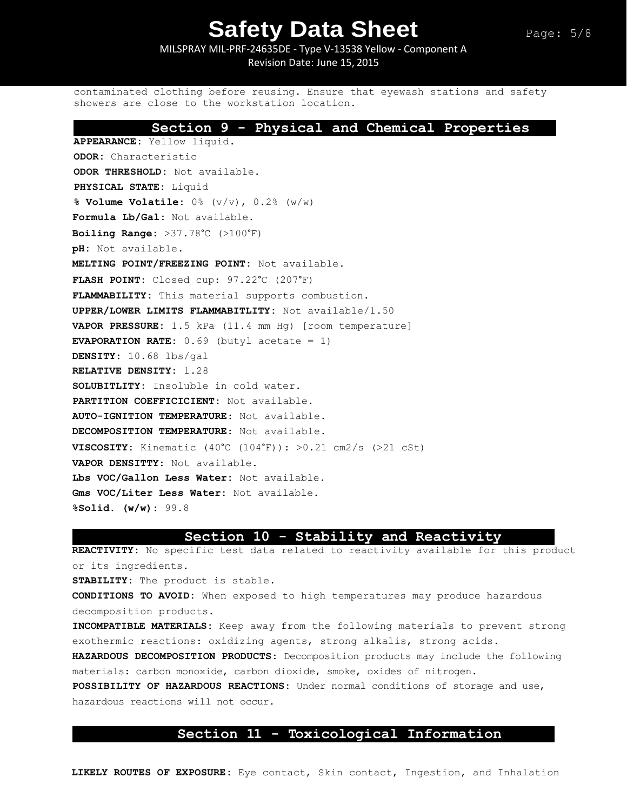MILSPRAY MIL-PRF-24635DE - Type V-13538 Yellow - Component A Revision Date: June 15, 2015

contaminated clothing before reusing. Ensure that eyewash stations and safety showers are close to the workstation location.

### **Section 9 - Physical and Chemical Properties**

**APPEARANCE:** Yellow liquid. **ODOR:** Characteristic **ODOR THRESHOLD:** Not available. **PHYSICAL STATE:** Liquid **% Volume Volatile:** 0% (v/v), 0.2% (w/w) **Formula Lb/Gal:** Not available. **Boiling Range:** >37.78°C (>100°F) **pH:** Not available. **MELTING POINT/FREEZING POINT:** Not available. **FLASH POINT:** Closed cup: 97.22°C (207°F) **FLAMMABILITY:** This material supports combustion. **UPPER/LOWER LIMITS FLAMMABITLITY:** Not available/1.50 **VAPOR PRESSURE:** 1.5 kPa (11.4 mm Hg) [room temperature] **EVAPORATION RATE:** 0.69 (butyl acetate = 1) **DENSITY:** 10.68 lbs/gal **RELATIVE DENSITY:** 1.28 **SOLUBITLITY:** Insoluble in cold water. **PARTITION COEFFICICIENT:** Not available. **AUTO-IGNITION TEMPERATURE:** Not available. **DECOMPOSITION TEMPERATURE:** Not available. **VISCOSITY:** Kinematic  $(40^{\circ}\text{C } (104^{\circ}\text{F}))$ :  $>0.21$  cm2/s ( $>21$  cSt) **VAPOR DENSITTY:** Not available. **Lbs VOC/Gallon Less Water:** Not available. **Gms VOC/Liter Less Water:** Not available. **%Solid. (w/w):** 99.8

### **Section 10 - Stability and Reactivity**

**REACTIVITY:** No specific test data related to reactivity available for this product or its ingredients.

**STABILITY:** The product is stable.

**CONDITIONS TO AVOID:** When exposed to high temperatures may produce hazardous decomposition products.

**INCOMPATIBLE MATERIALS:** Keep away from the following materials to prevent strong exothermic reactions: oxidizing agents, strong alkalis, strong acids. **HAZARDOUS DECOMPOSITION PRODUCTS:** Decomposition products may include the following materials: carbon monoxide, carbon dioxide, smoke, oxides of nitrogen**. POSSIBILITY OF HAZARDOUS REACTIONS:** Under normal conditions of storage and use, hazardous reactions will not occur.

## **Section 11 - Toxicological Information**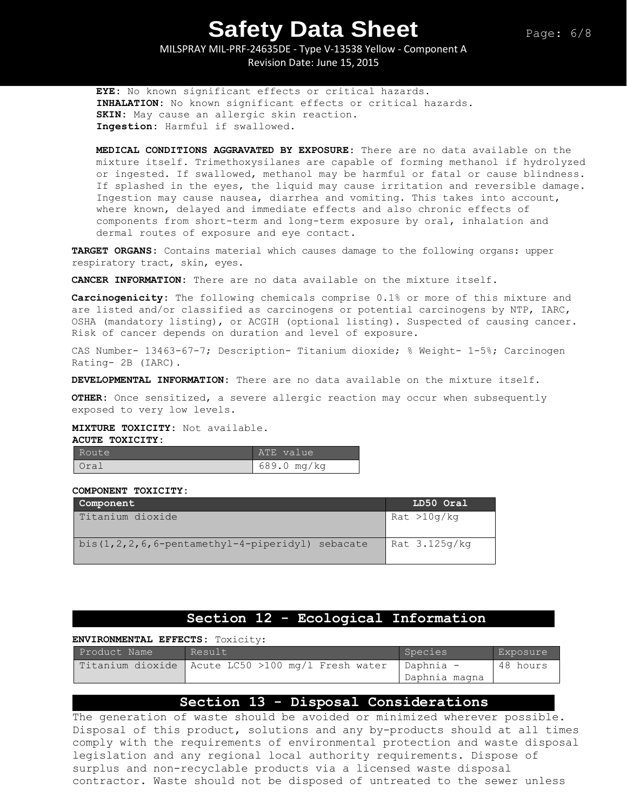MILSPRAY MIL-PRF-24635DE - Type V-13538 Yellow - Component A Revision Date: June 15, 2015

**EYE:** No known significant effects or critical hazards. **INHALATION:** No known significant effects or critical hazards. **SKIN:** May cause an allergic skin reaction. **Ingestion:** Harmful if swallowed.

**MEDICAL CONDITIONS AGGRAVATED BY EXPOSURE:** There are no data available on the mixture itself. Trimethoxysilanes are capable of forming methanol if hydrolyzed or ingested. If swallowed, methanol may be harmful or fatal or cause blindness. If splashed in the eyes, the liquid may cause irritation and reversible damage. Ingestion may cause nausea, diarrhea and vomiting. This takes into account, where known, delayed and immediate effects and also chronic effects of components from short-term and long-term exposure by oral, inhalation and dermal routes of exposure and eye contact.

**TARGET ORGANS:** Contains material which causes damage to the following organs: upper respiratory tract, skin, eyes.

**CANCER INFORMATION:** There are no data available on the mixture itself.

**Carcinogenicity:** The following chemicals comprise 0.1% or more of this mixture and are listed and/or classified as carcinogens or potential carcinogens by NTP, IARC, OSHA (mandatory listing), or ACGIH (optional listing). Suspected of causing cancer. Risk of cancer depends on duration and level of exposure.

CAS Number- 13463-67-7; Description- Titanium dioxide; % Weight- 1-5%; Carcinogen Rating- 2B (IARC).

**DEVELOPMENTAL INFORMATION:** There are no data available on the mixture itself.

**OTHER:** Once sensitized, a severe allergic reaction may occur when subsequently exposed to very low levels.

#### **MIXTURE TOXICITY:** Not available.

**ACUTE TOXICITY:** 

| Route | ATE value   |
|-------|-------------|
| Oral  | 689.0 mg/kg |

#### **COMPONENT TOXICITY:**

| Component                                               | LD50 Oral     |
|---------------------------------------------------------|---------------|
| Titanium dioxide                                        | Rat > 10q/kg  |
| bis $(1, 2, 2, 6, 6$ -pentamethyl-4-piperidyl) sebacate | Rat 3.125g/kg |

## **Section 12 - Ecological Information**

#### **ENVIRONMENTAL EFFECTS:** Toxicity:

| Product Name | Result                                              | Species                    | Exposure |
|--------------|-----------------------------------------------------|----------------------------|----------|
|              | Titanium dioxide   Acute LC50 >100 mg/l Fresh water | - Daphnia<br>Daphnia magna | 48 hours |

## **Section 13 - Disposal Considerations**

The generation of waste should be avoided or minimized wherever possible. Disposal of this product, solutions and any by-products should at all times comply with the requirements of environmental protection and waste disposal legislation and any regional local authority requirements. Dispose of surplus and non-recyclable products via a licensed waste disposal contractor. Waste should not be disposed of untreated to the sewer unless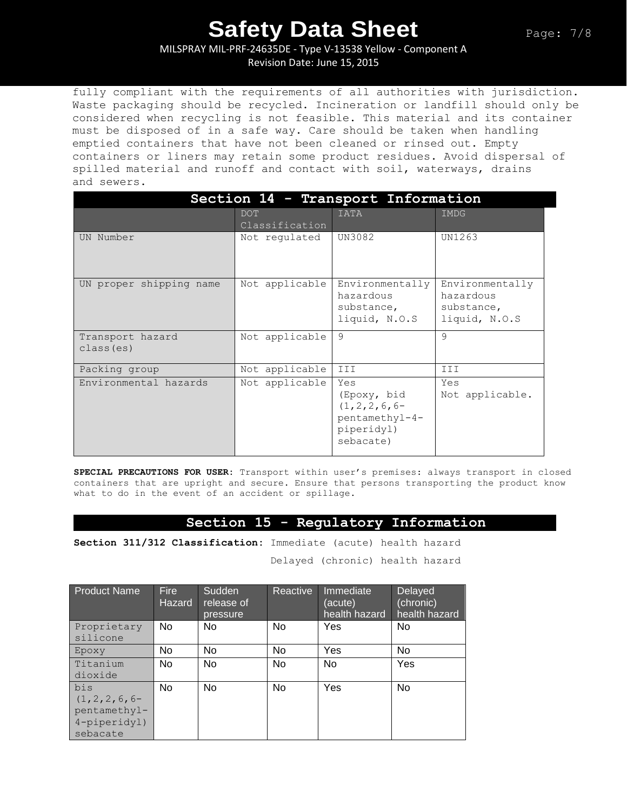MILSPRAY MIL-PRF-24635DE - Type V-13538 Yellow - Component A

Revision Date: June 15, 2015

fully compliant with the requirements of all authorities with jurisdiction. Waste packaging should be recycled. Incineration or landfill should only be considered when recycling is not feasible. This material and its container must be disposed of in a safe way. Care should be taken when handling emptied containers that have not been cleaned or rinsed out. Empty containers or liners may retain some product residues. Avoid dispersal of spilled material and runoff and contact with soil, waterways, drains and sewers.

| Section 14 - Transport Information |                              |                                                                                      |                                                             |  |
|------------------------------------|------------------------------|--------------------------------------------------------------------------------------|-------------------------------------------------------------|--|
|                                    | <b>DOT</b><br>Classification | <b>IATA</b>                                                                          | <b>IMDG</b>                                                 |  |
| UN Number                          | Not regulated                | UN3082                                                                               | UN1263                                                      |  |
| UN proper shipping name            | Not applicable               | Environmentally<br>hazardous<br>substance,<br>liquid, N.O.S                          | Environmentally<br>hazardous<br>substance,<br>liquid, N.O.S |  |
| Transport hazard<br>class (es)     | Not applicable               | 9                                                                                    | 9                                                           |  |
| Packing group                      | Not applicable               | III                                                                                  | III                                                         |  |
| Environmental hazards              | Not applicable               | Yes<br>(Epoxy, bid<br>$(1, 2, 2, 6, 6-$<br>pentamethyl-4-<br>piperidyl)<br>sebacate) | Yes<br>Not applicable.                                      |  |

**SPECIAL PRECAUTIONS FOR USER:** Transport within user's premises: always transport in closed containers that are upright and secure. Ensure that persons transporting the product know what to do in the event of an accident or spillage.

## **Section 15 - Regulatory Information**

**Section 311/312 Classification:** Immediate (acute) health hazard

Delayed (chronic) health hazard

| <b>Product Name</b> | <b>Fire</b><br><b>Hazard</b> | Sudden<br>release of<br>pressure | Reactive  | Immediate<br>(acute)<br>health hazard | Delayed<br>(chronic)<br>health hazard |
|---------------------|------------------------------|----------------------------------|-----------|---------------------------------------|---------------------------------------|
| Proprietary         | No.                          | No.                              | No.       | Yes                                   | No.                                   |
| silicone            |                              |                                  |           |                                       |                                       |
| Epoxy               | No                           | No                               | No        | Yes                                   | No                                    |
| Titanium            | No                           | <b>No</b>                        | <b>No</b> | <b>No</b>                             | Yes                                   |
| dioxide             |                              |                                  |           |                                       |                                       |
| bis                 | <b>No</b>                    | <b>No</b>                        | No        | Yes                                   | No                                    |
| $(1, 2, 2, 6, 6-$   |                              |                                  |           |                                       |                                       |
| pentamethyl-        |                              |                                  |           |                                       |                                       |
| 4-piperidyl)        |                              |                                  |           |                                       |                                       |
| sebacate            |                              |                                  |           |                                       |                                       |